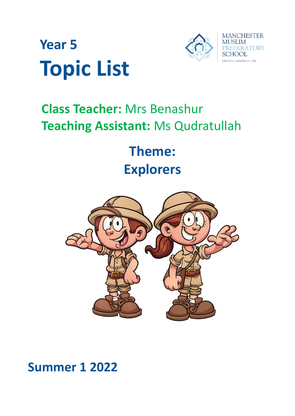



# **Class Teacher:** Mrs Benashur **Teaching Assistant:** Ms Qudratullah

**Theme: Explorers**



# **Summer 1 2022**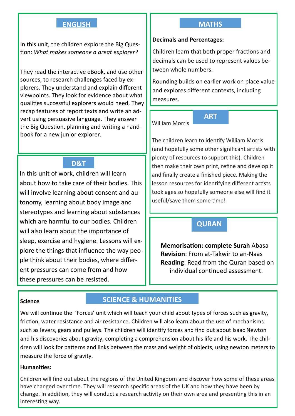# **ENGLISH**

In this unit, the children explore the Big Question: *What makes someone a great explorer?*

They read the interactive eBook, and use other sources, to research challenges faced by explorers. They understand and explain different viewpoints. They look for evidence about what qualities successful explorers would need. They recap features of report texts and write an advert using persuasive language. They answer the Big Question, planning and writing a handbook for a new junior explorer.

# **D&T**

In this unit of work, children will learn about how to take care of their bodies. This will involve learning about consent and autonomy, learning about body image and stereotypes and learning about substances which are harmful to our bodies. Children will also learn about the importance of sleep, exercise and hygiene. Lessons will explore the things that influence the way people think about their bodies, where different pressures can come from and how these pressures can be resisted.

#### **MATHS**

#### **Decimals and Percentages:**

Children learn that both proper fractions and decimals can be used to represent values between whole numbers.

Rounding builds on earlier work on place value and explores different contexts, including measures.

**ART**

William Morris

The children learn to identify William Morris (and hopefully some other significant artists with plenty of resources to support this). Children then make their own print, refine and develop it and finally create a finished piece. Making the lesson resources for identifying different artists took ages so hopefully someone else will find it useful/save them some time!

# **QURAN**

**Memorisation: complete Surah** Abasa **Revision**: From at-Takwir to an-Naas **Reading**: Read from the Quran based on individual continued assessment.

#### **Science**

# **SCIENCE & HUMANITIES**

We will continue the 'Forces' unit which will teach your child about types of forces such as gravity, friction, water resistance and air resistance. Children will also learn about the use of mechanisms such as levers, gears and pulleys. The children will identify forces and find out about Isaac Newton and his discoveries about gravity, completing a comprehension about his life and his work. The children will look for patterns and links between the mass and weight of objects, using newton meters to measure the force of gravity.

#### **Humanities:**

Children will find out about the regions of the United Kingdom and discover how some of these areas have changed over time. They will research specific areas of the UK and how they have been by change. In addition, they will conduct a research activity on their own area and presenting this in an interesting way.